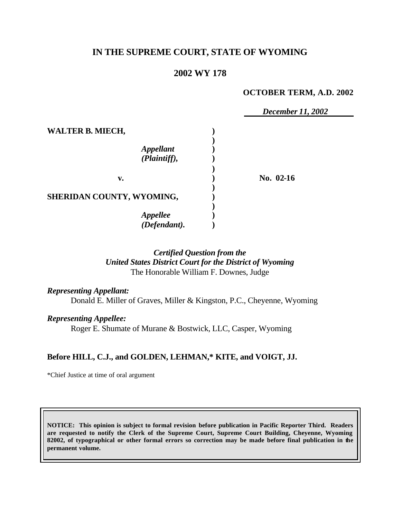## **IN THE SUPREME COURT, STATE OF WYOMING**

## **2002 WY 178**

#### **OCTOBER TERM, A.D. 2002**

|                                             | December 11, 2002 |  |
|---------------------------------------------|-------------------|--|
| <b>WALTER B. MIECH,</b><br><b>Appellant</b> |                   |  |
| (Plaintiff),                                |                   |  |
| v.                                          | No. $02-16$       |  |
| SHERIDAN COUNTY, WYOMING,                   |                   |  |
| <b>Appellee</b>                             |                   |  |
| $\overline{(\textit{Defendant})}.$          |                   |  |

### *Certified Question from the United States District Court for the District of Wyoming* The Honorable William F. Downes, Judge

*Representing Appellant:* Donald E. Miller of Graves, Miller & Kingston, P.C., Cheyenne, Wyoming

*Representing Appellee:*

Roger E. Shumate of Murane & Bostwick, LLC, Casper, Wyoming

### **Before HILL, C.J., and GOLDEN, LEHMAN,\* KITE, and VOIGT, JJ.**

\*Chief Justice at time of oral argument

**NOTICE: This opinion is subject to formal revision before publication in Pacific Reporter Third. Readers are requested to notify the Clerk of the Supreme Court, Supreme Court Building, Cheyenne, Wyoming 82002, of typographical or other formal errors so correction may be made before final publication in the permanent volume.**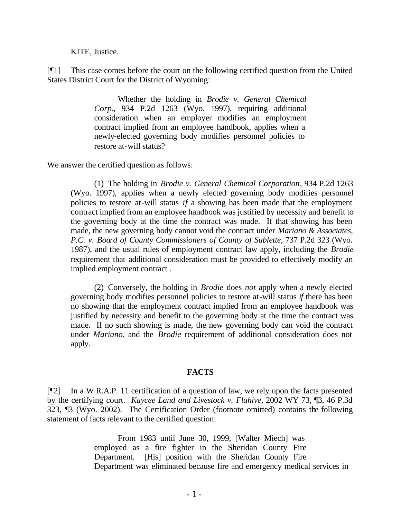KITE, Justice.

[¶1] This case comes before the court on the following certified question from the United States District Court for the District of Wyoming:

> Whether the holding in *Brodie v. General Chemical Corp.*, 934 P.2d 1263 (Wyo. 1997), requiring additional consideration when an employer modifies an employment contract implied from an employee handbook, applies when a newly-elected governing body modifies personnel policies to restore at-will status?

We answer the certified question as follows:

(1) The holding in *Brodie v. General Chemical Corporation*, 934 P.2d 1263 (Wyo. 1997), applies when a newly elected governing body modifies personnel policies to restore at-will status *if* a showing has been made that the employment contract implied from an employee handbook was justified by necessity and benefit to the governing body at the time the contract was made. If that showing has been made, the new governing body cannot void the contract under *Mariano & Associates, P.C. v. Board of County Commissioners of County of Sublette*, 737 P.2d 323 (Wyo. 1987), and the usual rules of employment contract law apply, including the *Brodie*  requirement that additional consideration must be provided to effectively modify an implied employment contract .

(2) Conversely, the holding in *Brodie* does *not* apply when a newly elected governing body modifies personnel policies to restore at-will status *if* there has been no showing that the employment contract implied from an employee handbook was justified by necessity and benefit to the governing body at the time the contract was made. If no such showing is made, the new governing body can void the contract under *Mariano*, and the *Brodie* requirement of additional consideration does not apply.

#### **FACTS**

[¶2] In a W.R.A.P. 11 certification of a question of law, we rely upon the facts presented by the certifying court. *Kaycee Land and Livestock v. Flahive*, 2002 WY 73, ¶3, 46 P.3d 323, ¶3 (Wyo. 2002). The Certification Order (footnote omitted) contains the following statement of facts relevant to the certified question:

> From 1983 until June 30, 1999, [Walter Miech] was employed as a fire fighter in the Sheridan County Fire Department. [His] position with the Sheridan County Fire Department was eliminated because fire and emergency medical services in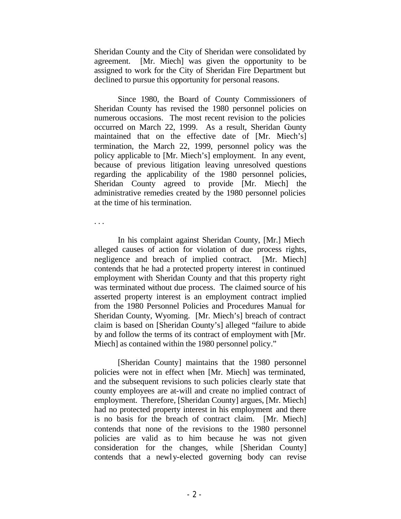Sheridan County and the City of Sheridan were consolidated by agreement. [Mr. Miech] was given the opportunity to be assigned to work for the City of Sheridan Fire Department but declined to pursue this opportunity for personal reasons.

Since 1980, the Board of County Commissioners of Sheridan County has revised the 1980 personnel policies on numerous occasions. The most recent revision to the policies occurred on March 22, 1999. As a result, Sheridan County maintained that on the effective date of [Mr. Miech's] termination, the March 22, 1999, personnel policy was the policy applicable to [Mr. Miech's] employment. In any event, because of previous litigation leaving unresolved questions regarding the applicability of the 1980 personnel policies, Sheridan County agreed to provide [Mr. Miech] the administrative remedies created by the 1980 personnel policies at the time of his termination.

. . .

In his complaint against Sheridan County, [Mr.] Miech alleged causes of action for violation of due process rights, negligence and breach of implied contract. [Mr. Miech] contends that he had a protected property interest in continued employment with Sheridan County and that this property right was terminated without due process. The claimed source of his asserted property interest is an employment contract implied from the 1980 Personnel Policies and Procedures Manual for Sheridan County, Wyoming. [Mr. Miech's] breach of contract claim is based on [Sheridan County's] alleged "failure to abide by and follow the terms of its contract of employment with [Mr. Miech] as contained within the 1980 personnel policy."

[Sheridan County] maintains that the 1980 personnel policies were not in effect when [Mr. Miech] was terminated, and the subsequent revisions to such policies clearly state that county employees are at-will and create no implied contract of employment. Therefore, [Sheridan County] argues, [Mr. Miech] had no protected property interest in his employment and there is no basis for the breach of contract claim. [Mr. Miech] contends that none of the revisions to the 1980 personnel policies are valid as to him because he was not given consideration for the changes, while [Sheridan County] contends that a newly-elected governing body can revise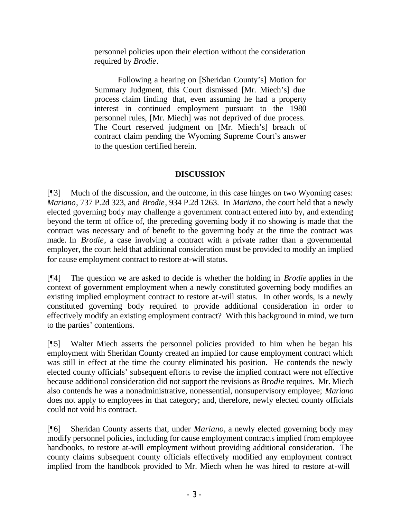personnel policies upon their election without the consideration required by *Brodie*.

Following a hearing on [Sheridan County's] Motion for Summary Judgment, this Court dismissed [Mr. Miech's] due process claim finding that, even assuming he had a property interest in continued employment pursuant to the 1980 personnel rules, [Mr. Miech] was not deprived of due process. The Court reserved judgment on [Mr. Miech's] breach of contract claim pending the Wyoming Supreme Court's answer to the question certified herein.

# **DISCUSSION**

[¶3] Much of the discussion, and the outcome, in this case hinges on two Wyoming cases: *Mariano*, 737 P.2d 323, and *Brodie*, 934 P.2d 1263. In *Mariano*, the court held that a newly elected governing body may challenge a government contract entered into by, and extending beyond the term of office of, the preceding governing body if no showing is made that the contract was necessary and of benefit to the governing body at the time the contract was made. In *Brodie*, a case involving a contract with a private rather than a governmental employer, the court held that additional consideration must be provided to modify an implied for cause employment contract to restore at-will status.

[¶4] The question we are asked to decide is whether the holding in *Brodie* applies in the context of government employment when a newly constituted governing body modifies an existing implied employment contract to restore at-will status. In other words, is a newly constituted governing body required to provide additional consideration in order to effectively modify an existing employment contract? With this background in mind, we turn to the parties' contentions.

[¶5] Walter Miech asserts the personnel policies provided to him when he began his employment with Sheridan County created an implied for cause employment contract which was still in effect at the time the county eliminated his position. He contends the newly elected county officials' subsequent efforts to revise the implied contract were not effective because additional consideration did not support the revisions as *Brodie* requires. Mr. Miech also contends he was a nonadministrative, nonessential, nonsupervisory employee; *Mariano* does not apply to employees in that category; and, therefore, newly elected county officials could not void his contract.

[¶6] Sheridan County asserts that, under *Mariano,* a newly elected governing body may modify personnel policies, including for cause employment contracts implied from employee handbooks, to restore at-will employment without providing additional consideration. The county claims subsequent county officials effectively modified any employment contract implied from the handbook provided to Mr. Miech when he was hired to restore at-will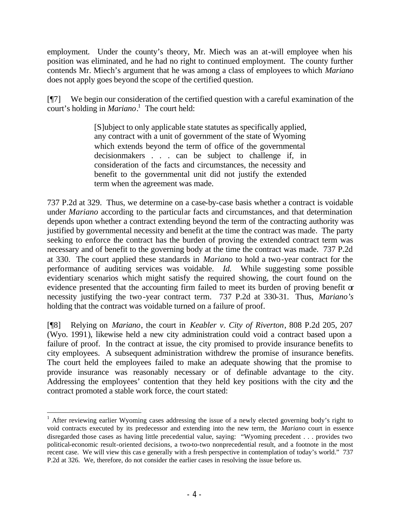employment. Under the county's theory, Mr. Miech was an at-will employee when his position was eliminated, and he had no right to continued employment. The county further contends Mr. Miech's argument that he was among a class of employees to which *Mariano* does not apply goes beyond the scope of the certified question.

[¶7] We begin our consideration of the certified question with a careful examination of the court's holding in *Mariano*. 1 The court held:

> [S]ubject to only applicable state statutes as specifically applied, any contract with a unit of government of the state of Wyoming which extends beyond the term of office of the governmental decisionmakers . . . can be subject to challenge if, in consideration of the facts and circumstances, the necessity and benefit to the governmental unit did not justify the extended term when the agreement was made.

737 P.2d at 329. Thus, we determine on a case-by-case basis whether a contract is voidable under *Mariano* according to the particular facts and circumstances, and that determination depends upon whether a contract extending beyond the term of the contracting authority was justified by governmental necessity and benefit at the time the contract was made. The party seeking to enforce the contract has the burden of proving the extended contract term was necessary and of benefit to the governing body at the time the contract was made. 737 P.2d at 330. The court applied these standards in *Mariano* to hold a two-year contract for the performance of auditing services was voidable. *Id.* While suggesting some possible evidentiary scenarios which might satisfy the required showing, the court found on the evidence presented that the accounting firm failed to meet its burden of proving benefit or necessity justifying the two-year contract term. 737 P.2d at 330-31. Thus, *Mariano's*  holding that the contract was voidable turned on a failure of proof.

[¶8] Relying on *Mariano*, the court in *Keabler v. City of Riverton*, 808 P.2d 205, 207 (Wyo. 1991), likewise held a new city administration could void a contract based upon a failure of proof. In the contract at issue, the city promised to provide insurance benefits to city employees. A subsequent administration withdrew the promise of insurance benefits. The court held the employees failed to make an adequate showing that the promise to provide insurance was reasonably necessary or of definable advantage to the city. Addressing the employees' contention that they held key positions with the city and the contract promoted a stable work force, the court stated:

<sup>&</sup>lt;sup>1</sup> After reviewing earlier Wyoming cases addressing the issue of a newly elected governing body's right to void contracts executed by its predecessor and extending into the new term, the *Mariano* court in essence disregarded those cases as having little precedential value, saying: "Wyoming precedent . . . provides two political-economic result-oriented decisions, a two-to-two nonprecedential result, and a footnote in the most recent case. We will view this cas e generally with a fresh perspective in contemplation of today's world." 737 P.2d at 326. We, therefore, do not consider the earlier cases in resolving the issue before us.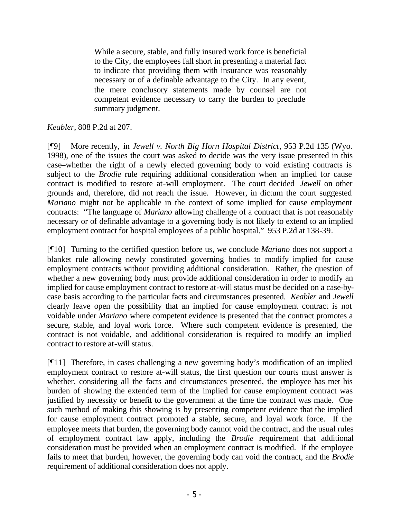While a secure, stable, and fully insured work force is beneficial to the City, the employees fall short in presenting a material fact to indicate that providing them with insurance was reasonably necessary or of a definable advantage to the City. In any event, the mere conclusory statements made by counsel are not competent evidence necessary to carry the burden to preclude summary judgment.

#### *Keabler*, 808 P.2d at 207.

[¶9] More recently, in *Jewell v. North Big Horn Hospital District*, 953 P.2d 135 (Wyo. 1998), one of the issues the court was asked to decide was the very issue presented in this case–whether the right of a newly elected governing body to void existing contracts is subject to the *Brodie* rule requiring additional consideration when an implied for cause contract is modified to restore at-will employment. The court decided *Jewell* on other grounds and, therefore, did not reach the issue. However, in dictum the court suggested *Mariano* might not be applicable in the context of some implied for cause employment contracts: "The language of *Mariano* allowing challenge of a contract that is not reasonably necessary or of definable advantage to a governing body is not likely to extend to an implied employment contract for hospital employees of a public hospital." 953 P.2d at 138-39.

[¶10] Turning to the certified question before us, we conclude *Mariano* does not support a blanket rule allowing newly constituted governing bodies to modify implied for cause employment contracts without providing additional consideration. Rather, the question of whether a new governing body must provide additional consideration in order to modify an implied for cause employment contract to restore at-will status must be decided on a case-bycase basis according to the particular facts and circumstances presented. *Keabler* and *Jewell* clearly leave open the possibility that an implied for cause employment contract is not voidable under *Mariano* where competent evidence is presented that the contract promotes a secure, stable, and loyal work force. Where such competent evidence is presented, the contract is not voidable, and additional consideration is required to modify an implied contract to restore at-will status.

[¶11] Therefore, in cases challenging a new governing body's modification of an implied employment contract to restore at-will status, the first question our courts must answer is whether, considering all the facts and circumstances presented, the employee has met his burden of showing the extended term of the implied for cause employment contract was justified by necessity or benefit to the government at the time the contract was made. One such method of making this showing is by presenting competent evidence that the implied for cause employment contract promoted a stable, secure, and loyal work force. If the employee meets that burden, the governing body cannot void the contract, and the usual rules of employment contract law apply, including the *Brodie* requirement that additional consideration must be provided when an employment contract is modified. If the employee fails to meet that burden, however, the governing body can void the contract, and the *Brodie* requirement of additional consideration does not apply.